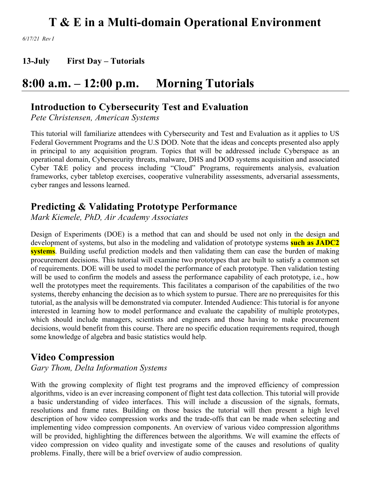*6/17/21 Rev I*

**13-July First Day – Tutorials**

### **8:00 a.m. – 12:00 p.m. Morning Tutorials**

### **Introduction to Cybersecurity Test and Evaluation**

*Pete Christensen, American Systems*

This tutorial will familiarize attendees with Cybersecurity and Test and Evaluation as it applies to US Federal Government Programs and the U.S DOD. Note that the ideas and concepts presented also apply in principal to any acquisition program. Topics that will be addressed include Cyberspace as an operational domain, Cybersecurity threats, malware, DHS and DOD systems acquisition and associated Cyber T&E policy and process including "Cloud" Programs, requirements analysis, evaluation frameworks, cyber tabletop exercises, cooperative vulnerability assessments, adversarial assessments, cyber ranges and lessons learned.

### **Predicting & Validating Prototype Performance**

*Mark Kiemele, PhD, Air Academy Associates*

Design of Experiments (DOE) is a method that can and should be used not only in the design and development of systems, but also in the modeling and validation of prototype systems **such as JADC2 systems**. Building useful prediction models and then validating them can ease the burden of making procurement decisions. This tutorial will examine two prototypes that are built to satisfy a common set of requirements. DOE will be used to model the performance of each prototype. Then validation testing will be used to confirm the models and assess the performance capability of each prototype, i.e., how well the prototypes meet the requirements. This facilitates a comparison of the capabilities of the two systems, thereby enhancing the decision as to which system to pursue. There are no prerequisites for this tutorial, as the analysis will be demonstrated via computer. Intended Audience: This tutorial is for anyone interested in learning how to model performance and evaluate the capability of multiple prototypes, which should include managers, scientists and engineers and those having to make procurement decisions, would benefit from this course. There are no specific education requirements required, though some knowledge of algebra and basic statistics would help.

### **Video Compression**

*Gary Thom, Delta Information Systems*

With the growing complexity of flight test programs and the improved efficiency of compression algorithms, video is an ever increasing component of flight test data collection. This tutorial will provide a basic understanding of video interfaces. This will include a discussion of the signals, formats, resolutions and frame rates. Building on those basics the tutorial will then present a high level description of how video compression works and the trade-offs that can be made when selecting and implementing video compression components. An overview of various video compression algorithms will be provided, highlighting the differences between the algorithms. We will examine the effects of video compression on video quality and investigate some of the causes and resolutions of quality problems. Finally, there will be a brief overview of audio compression.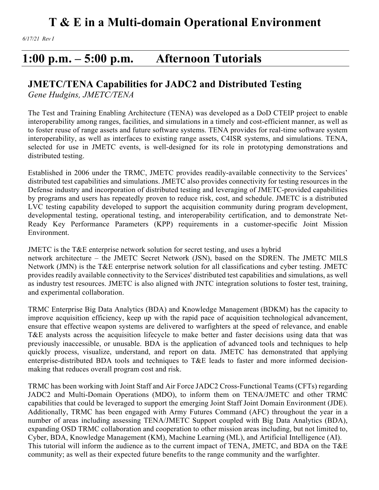*6/17/21 Rev I*

### **1:00 p.m. – 5:00 p.m. Afternoon Tutorials**

### **JMETC/TENA Capabilities for JADC2 and Distributed Testing**

*Gene Hudgins, JMETC/TENA*

The Test and Training Enabling Architecture (TENA) was developed as a DoD CTEIP project to enable interoperability among ranges, facilities, and simulations in a timely and cost-efficient manner, as well as to foster reuse of range assets and future software systems. TENA provides for real-time software system interoperability, as well as interfaces to existing range assets, C4ISR systems, and simulations. TENA, selected for use in JMETC events, is well-designed for its role in prototyping demonstrations and distributed testing.

Established in 2006 under the TRMC, JMETC provides readily-available connectivity to the Services' distributed test capabilities and simulations. JMETC also provides connectivity for testing resources in the Defense industry and incorporation of distributed testing and leveraging of JMETC-provided capabilities by programs and users has repeatedly proven to reduce risk, cost, and schedule. JMETC is a distributed LVC testing capability developed to support the acquisition community during program development, developmental testing, operational testing, and interoperability certification, and to demonstrate Net-Ready Key Performance Parameters (KPP) requirements in a customer-specific Joint Mission Environment.

JMETC is the T&E enterprise network solution for secret testing, and uses a hybrid network architecture – the JMETC Secret Network (JSN), based on the SDREN. The JMETC MILS Network (JMN) is the T&E enterprise network solution for all classifications and cyber testing. JMETC provides readily available connectivity to the Services' distributed test capabilities and simulations, as well as industry test resources. JMETC is also aligned with JNTC integration solutions to foster test, training, and experimental collaboration.

TRMC Enterprise Big Data Analytics (BDA) and Knowledge Management (BDKM) has the capacity to improve acquisition efficiency, keep up with the rapid pace of acquisition technological advancement, ensure that effective weapon systems are delivered to warfighters at the speed of relevance, and enable T&E analysts across the acquisition lifecycle to make better and faster decisions using data that was previously inaccessible, or unusable. BDA is the application of advanced tools and techniques to help quickly process, visualize, understand, and report on data. JMETC has demonstrated that applying enterprise-distributed BDA tools and techniques to T&E leads to faster and more informed decisionmaking that reduces overall program cost and risk.

TRMC has been working with Joint Staff and Air Force JADC2 Cross-Functional Teams (CFTs) regarding JADC2 and Multi-Domain Operations (MDO), to inform them on TENA/JMETC and other TRMC capabilities that could be leveraged to support the emerging Joint Staff Joint Domain Environment (JDE). Additionally, TRMC has been engaged with Army Futures Command (AFC) throughout the year in a number of areas including assessing TENA/JMETC Support coupled with Big Data Analytics (BDA), expanding OSD TRMC collaboration and cooperation to other mission areas including, but not limited to, Cyber, BDA, Knowledge Management (KM), Machine Learning (ML), and Artificial Intelligence (AI). This tutorial will inform the audience as to the current impact of TENA, JMETC, and BDA on the T&E community; as well as their expected future benefits to the range community and the warfighter.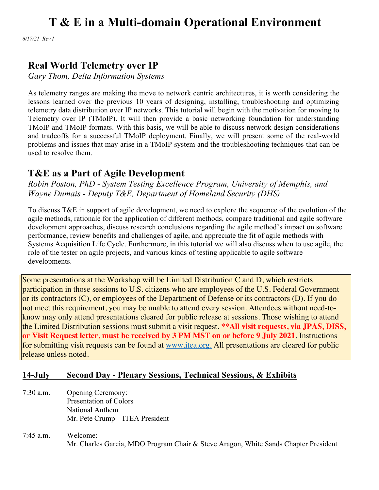*6/17/21 Rev I*

### **Real World Telemetry over IP**

*Gary Thom, Delta Information Systems*

As telemetry ranges are making the move to network centric architectures, it is worth considering the lessons learned over the previous 10 years of designing, installing, troubleshooting and optimizing telemetry data distribution over IP networks. This tutorial will begin with the motivation for moving to Telemetry over IP (TMoIP). It will then provide a basic networking foundation for understanding TMoIP and TMoIP formats. With this basis, we will be able to discuss network design considerations and tradeoffs for a successful TMoIP deployment. Finally, we will present some of the real-world problems and issues that may arise in a TMoIP system and the troubleshooting techniques that can be used to resolve them.

### **T&E as a Part of Agile Development**

*Robin Poston, PhD - System Testing Excellence Program, University of Memphis, and Wayne Dumais - Deputy T&E, Department of Homeland Security (DHS)*

To discuss T&E in support of agile development, we need to explore the sequence of the evolution of the agile methods, rationale for the application of different methods, compare traditional and agile software development approaches, discuss research conclusions regarding the agile method's impact on software performance, review benefits and challenges of agile, and appreciate the fit of agile methods with Systems Acquisition Life Cycle. Furthermore, in this tutorial we will also discuss when to use agile, the role of the tester on agile projects, and various kinds of testing applicable to agile software developments.

Some presentations at the Workshop will be Limited Distribution C and D, which restricts participation in those sessions to U.S. citizens who are employees of the U.S. Federal Government or its contractors (C), or employees of the Department of Defense or its contractors (D). If you do not meet this requirement, you may be unable to attend every session. Attendees without need-toknow may only attend presentations cleared for public release at sessions. Those wishing to attend the Limited Distribution sessions must submit a visit request. **\*\*All visit requests, via JPAS, DISS, or Visit Request letter, must be received by 3 PM MST on or before 9 July 2021**. Instructions for submitting visit requests can be found at www.itea.org. All presentations are cleared for public release unless noted.

#### **14-July Second Day - Plenary Sessions, Technical Sessions, & Exhibits**

- 7:30 a.m. Opening Ceremony: Presentation of Colors National Anthem Mr. Pete Crump – ITEA President
- 7:45 a.m. Welcome: Mr. Charles Garcia, MDO Program Chair & Steve Aragon, White Sands Chapter President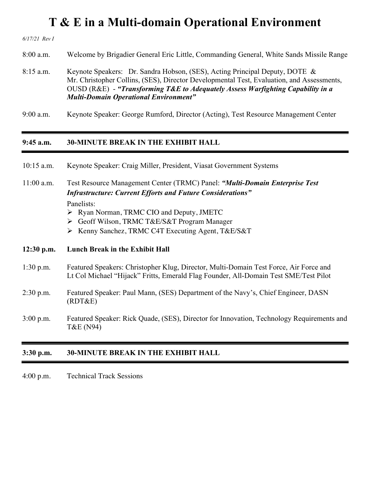*6/17/21 Rev I*

8:00 a.m. Welcome by Brigadier General Eric Little, Commanding General, White Sands Missile Range

8:15 a.m. Keynote Speakers: Dr. Sandra Hobson, (SES), Acting Principal Deputy, DOTE & Mr. Christopher Collins, (SES), Director Developmental Test, Evaluation, and Assessments, OUSD (R&E) - *"Transforming T&E to Adequately Assess Warfighting Capability in a Multi-Domain Operational Environment"*

9:00 a.m. Keynote Speaker: George Rumford, Director (Acting), Test Resource Management Center

#### **9:45 a.m. 30-MINUTE BREAK IN THE EXHIBIT HALL**

| $10:15$ a.m. |  |  |  | Keynote Speaker: Craig Miller, President, Viasat Government Systems |
|--------------|--|--|--|---------------------------------------------------------------------|
|--------------|--|--|--|---------------------------------------------------------------------|

11:00 a.m. Test Resource Management Center (TRMC) Panel: *"Multi-Domain Enterprise Test Infrastructure: Current Efforts and Future Considerations"* Panelists:

- Ø Ryan Norman, TRMC CIO and Deputy, JMETC
- Ø Geoff Wilson, TRMC T&E/S&T Program Manager
- Ø Kenny Sanchez, TRMC C4T Executing Agent, T&E/S&T

#### **12:30 p.m. Lunch Break in the Exhibit Hall**

- 1:30 p.m. Featured Speakers: Christopher Klug, Director, Multi-Domain Test Force, Air Force and Lt Col Michael "Hijack" Fritts, Emerald Flag Founder, All-Domain Test SME/Test Pilot
- 2:30 p.m. Featured Speaker: Paul Mann, (SES) Department of the Navy's, Chief Engineer, DASN (RDT&E)
- 3:00 p.m. Featured Speaker: Rick Quade, (SES), Director for Innovation, Technology Requirements and T&E (N94)

#### **3:30 p.m. 30-MINUTE BREAK IN THE EXHIBIT HALL**

4:00 p.m. Technical Track Sessions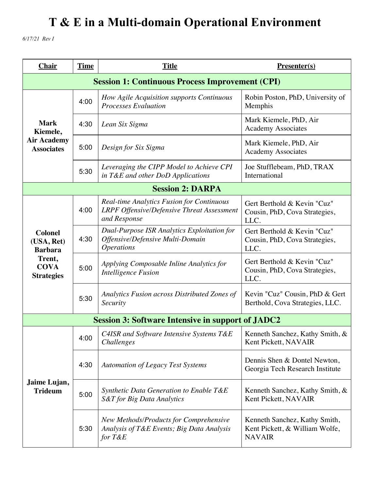*6/17/21 Rev I*

| <b>Chair</b>                                                                                 | <b>Time</b> | <b>Title</b>                                                                                                          | <b>Presenter(s)</b>                                                              |  |
|----------------------------------------------------------------------------------------------|-------------|-----------------------------------------------------------------------------------------------------------------------|----------------------------------------------------------------------------------|--|
| <b>Session 1: Continuous Process Improvement (CPI)</b>                                       |             |                                                                                                                       |                                                                                  |  |
|                                                                                              | 4:00        | How Agile Acquisition supports Continuous<br><b>Processes Evaluation</b>                                              | Robin Poston, PhD, University of<br>Memphis                                      |  |
| <b>Mark</b><br>Kiemele,                                                                      | 4:30        | Lean Six Sigma                                                                                                        | Mark Kiemele, PhD, Air<br><b>Academy Associates</b>                              |  |
| <b>Air Academy</b><br><b>Associates</b>                                                      | 5:00        | Design for Six Sigma                                                                                                  | Mark Kiemele, PhD, Air<br><b>Academy Associates</b>                              |  |
|                                                                                              | 5:30        | Leveraging the CIPP Model to Achieve CPI<br>in T&E and other DoD Applications                                         | Joe Stufflebeam, PhD, TRAX<br>International                                      |  |
| <b>Session 2: DARPA</b>                                                                      |             |                                                                                                                       |                                                                                  |  |
| <b>Colonel</b><br>(USA, Ret)<br><b>Barbara</b><br>Trent,<br><b>COVA</b><br><b>Strategies</b> | 4:00        | <b>Real-time Analytics Fusion for Continuous</b><br><b>LRPF Offensive/Defensive Threat Assessment</b><br>and Response | Gert Berthold & Kevin "Cuz"<br>Cousin, PhD, Cova Strategies,<br>LLC.             |  |
|                                                                                              | 4:30        | <b>Dual-Purpose ISR Analytics Exploitation for</b><br>Offensive/Defensive Multi-Domain<br><i><b>Operations</b></i>    | Gert Berthold & Kevin "Cuz"<br>Cousin, PhD, Cova Strategies,<br>LLC.             |  |
|                                                                                              | 5:00        | Applying Composable Inline Analytics for<br><b>Intelligence Fusion</b>                                                | Gert Berthold & Kevin "Cuz"<br>Cousin, PhD, Cova Strategies,<br>LLC.             |  |
|                                                                                              | 5:30        | Analytics Fusion across Distributed Zones of<br>Security                                                              | Kevin "Cuz" Cousin, PhD & Gert<br>Berthold, Cova Strategies, LLC.                |  |
| <b>Session 3: Software Intensive in support of JADC2</b>                                     |             |                                                                                                                       |                                                                                  |  |
| Jaime Lujan,<br><b>Trideum</b>                                                               | 4:00        | C4ISR and Software Intensive Systems T&E<br>Challenges                                                                | Kenneth Sanchez, Kathy Smith, &<br>Kent Pickett, NAVAIR                          |  |
|                                                                                              | 4:30        | <b>Automation of Legacy Test Systems</b>                                                                              | Dennis Shen & Dontel Newton,<br>Georgia Tech Research Institute                  |  |
|                                                                                              | 5:00        | Synthetic Data Generation to Enable T&E<br>S&T for Big Data Analytics                                                 | Kenneth Sanchez, Kathy Smith, &<br>Kent Pickett, NAVAIR                          |  |
|                                                                                              | 5:30        | New Methods/Products for Comprehensive<br>Analysis of T&E Events; Big Data Analysis<br>for T&E                        | Kenneth Sanchez, Kathy Smith,<br>Kent Pickett, & William Wolfe,<br><b>NAVAIR</b> |  |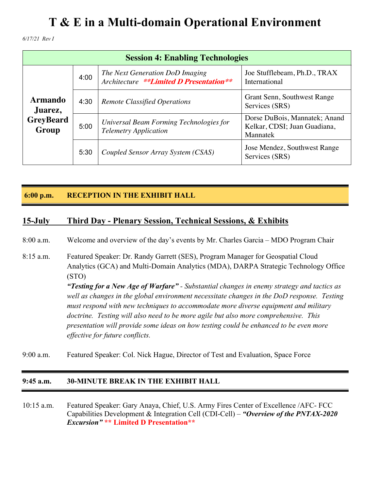*6/17/21 Rev I*

| <b>Session 4: Enabling Technologies</b>                |      |                                                                            |                                                                           |
|--------------------------------------------------------|------|----------------------------------------------------------------------------|---------------------------------------------------------------------------|
| <b>Armando</b><br>Juarez,<br><b>GreyBeard</b><br>Group | 4:00 | The Next Generation DoD Imaging<br>Architecture **Limited D Presentation** | Joe Stufflebeam, Ph.D., TRAX<br>International                             |
|                                                        | 4:30 | <b>Remote Classified Operations</b>                                        | Grant Senn, Southwest Range<br>Services (SRS)                             |
|                                                        | 5:00 | Universal Beam Forming Technologies for<br><b>Telemetry Application</b>    | Dorse DuBois, Mannatek; Anand<br>Kelkar, CDSI; Juan Guadiana,<br>Mannatek |
|                                                        | 5:30 | Coupled Sensor Array System (CSAS)                                         | Jose Mendez, Southwest Range<br>Services (SRS)                            |

#### **6:00 p.m. RECEPTION IN THE EXHIBIT HALL**

#### **15-July Third Day - Plenary Session, Technical Sessions, & Exhibits**

8:00 a.m. Welcome and overview of the day's events by Mr. Charles Garcia – MDO Program Chair

- 8:15 a.m. Featured Speaker: Dr. Randy Garrett (SES), Program Manager for Geospatial Cloud Analytics (GCA) and Multi-Domain Analytics (MDA), DARPA Strategic Technology Office (STO) *"Testing for a New Age of Warfare" - Substantial changes in enemy strategy and tactics as well as changes in the global environment necessitate changes in the DoD response. Testing must respond with new techniques to accommodate more diverse equipment and military doctrine. Testing will also need to be more agile but also more comprehensive. This presentation will provide some ideas on how testing could be enhanced to be even more effective for future conflicts.*
- 9:00 a.m. Featured Speaker: Col. Nick Hague, Director of Test and Evaluation, Space Force

#### **9:45 a.m. 30-MINUTE BREAK IN THE EXHIBIT HALL**

10:15 a.m. Featured Speaker: Gary Anaya, Chief, U.S. Army Fires Center of Excellence /AFC- FCC Capabilities Development & Integration Cell (CDI-Cell) – *"Overview of the PNTAX-2020 Excursion"* **\*\* Limited D Presentation\*\***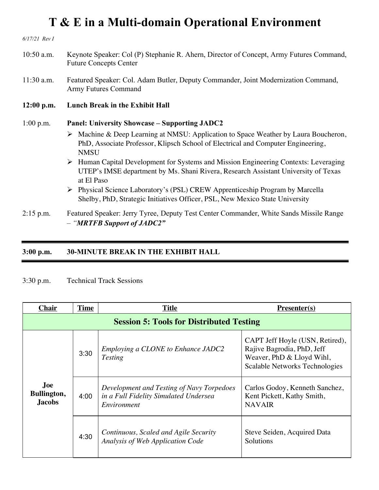*6/17/21 Rev I*

- 10:50 a.m. Keynote Speaker: Col (P) Stephanie R. Ahern, Director of Concept, Army Futures Command, Future Concepts Center
- 11:30 a.m. Featured Speaker: Col. Adam Butler, Deputy Commander, Joint Modernization Command, Army Futures Command
- **12:00 p.m. Lunch Break in the Exhibit Hall**

#### 1:00 p.m. **Panel: University Showcase – Supporting JADC2**

- Ø Machine & Deep Learning at NMSU: Application to Space Weather by Laura Boucheron, PhD, Associate Professor, Klipsch School of Electrical and Computer Engineering, **NMSU**
- Ø Human Capital Development for Systems and Mission Engineering Contexts: Leveraging UTEP's IMSE department by Ms. Shani Rivera, Research Assistant University of Texas at El Paso
- Ø Physical Science Laboratory's (PSL) CREW Apprenticeship Program by Marcella Shelby, PhD, Strategic Initiatives Officer, PSL, New Mexico State University
- 2:15 p.m. Featured Speaker: Jerry Tyree, Deputy Test Center Commander, White Sands Missile Range – *"MRTFB Support of JADC2"*

#### **3:00 p.m. 30-MINUTE BREAK IN THE EXHIBIT HALL**

#### 3:30 p.m. Technical Track Sessions

| <b>Chair</b>                        | <b>Time</b>                                     | <b>Title</b>                                                                                      | $Presenter(s)$                                                                                                               |  |  |
|-------------------------------------|-------------------------------------------------|---------------------------------------------------------------------------------------------------|------------------------------------------------------------------------------------------------------------------------------|--|--|
|                                     | <b>Session 5: Tools for Distributed Testing</b> |                                                                                                   |                                                                                                                              |  |  |
|                                     | 3:30                                            | Employing a CLONE to Enhance JADC2<br><b>Testing</b>                                              | CAPT Jeff Hoyle (USN, Retired),<br>Rajive Bagrodia, PhD, Jeff<br>Weaver, PhD & Lloyd Wihl,<br>Scalable Networks Technologies |  |  |
| Joe<br>Bullington,<br><b>Jacobs</b> | 4:00                                            | Development and Testing of Navy Torpedoes<br>in a Full Fidelity Simulated Undersea<br>Environment | Carlos Godoy, Kenneth Sanchez,<br>Kent Pickett, Kathy Smith,<br><b>NAVAIR</b>                                                |  |  |
|                                     | 4:30                                            | Continuous, Scaled and Agile Security<br>Analysis of Web Application Code                         | Steve Seiden, Acquired Data<br>Solutions                                                                                     |  |  |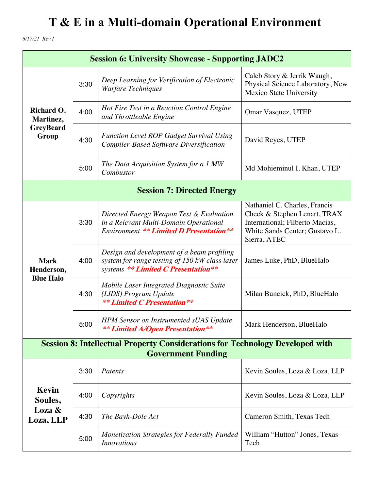*6/17/21 Rev I*

| <b>Session 6: University Showcase - Supporting JADC2</b>                                                          |      |                                                                                                                                      |                                                                                                                                                    |
|-------------------------------------------------------------------------------------------------------------------|------|--------------------------------------------------------------------------------------------------------------------------------------|----------------------------------------------------------------------------------------------------------------------------------------------------|
| Richard O.<br>Martinez,<br><b>GreyBeard</b><br>Group                                                              | 3:30 | Deep Learning for Verification of Electronic<br>Warfare Techniques                                                                   | Caleb Story & Jerrik Waugh,<br>Physical Science Laboratory, New<br>Mexico State University                                                         |
|                                                                                                                   | 4:00 | Hot Fire Test in a Reaction Control Engine<br>and Throttleable Engine                                                                | Omar Vasquez, UTEP                                                                                                                                 |
|                                                                                                                   | 4:30 | <b>Function Level ROP Gadget Survival Using</b><br><b>Compiler-Based Software Diversification</b>                                    | David Reyes, UTEP                                                                                                                                  |
|                                                                                                                   | 5:00 | The Data Acquisition System for a 1 MW<br>Combustor                                                                                  | Md Mohieminul I. Khan, UTEP                                                                                                                        |
| <b>Session 7: Directed Energy</b>                                                                                 |      |                                                                                                                                      |                                                                                                                                                    |
| <b>Mark</b><br>Henderson,<br><b>Blue Halo</b>                                                                     | 3:30 | Directed Energy Weapon Test & Evaluation<br>in a Relevant Multi-Domain Operational<br><b>Environment ** Limited D Presentation**</b> | Nathaniel C. Charles, Francis<br>Check & Stephen Lenart, TRAX<br>International; Filberto Macias,<br>White Sands Center; Gustavo L.<br>Sierra, ATEC |
|                                                                                                                   | 4:00 | Design and development of a beam profiling<br>system for range testing of 150 kW class laser<br>systems ** Limited C Presentation**  | James Luke, PhD, BlueHalo                                                                                                                          |
|                                                                                                                   | 4:30 | Mobile Laser Integrated Diagnostic Suite<br>(LIDS) Program Update<br><b>** Limited C Presentation**</b>                              | Milan Buncick, PhD, BlueHalo                                                                                                                       |
|                                                                                                                   | 5:00 | <b>HPM</b> Sensor on Instrumented sUAS Update<br><b>** Limited A/Open Presentation**</b>                                             | Mark Henderson, BlueHalo                                                                                                                           |
| <b>Session 8: Intellectual Property Considerations for Technology Developed with</b><br><b>Government Funding</b> |      |                                                                                                                                      |                                                                                                                                                    |
|                                                                                                                   | 3:30 | Patents                                                                                                                              | Kevin Soules, Loza & Loza, LLP                                                                                                                     |
| Kevin<br>Soules,<br>Loza &<br>Loza, LLP                                                                           | 4:00 | Copyrights                                                                                                                           | Kevin Soules, Loza & Loza, LLP                                                                                                                     |
|                                                                                                                   | 4:30 | The Bayh-Dole Act                                                                                                                    | Cameron Smith, Texas Tech                                                                                                                          |
|                                                                                                                   | 5:00 | <b>Monetization Strategies for Federally Funded</b><br><b>Innovations</b>                                                            | William "Hutton" Jones, Texas<br>Tech                                                                                                              |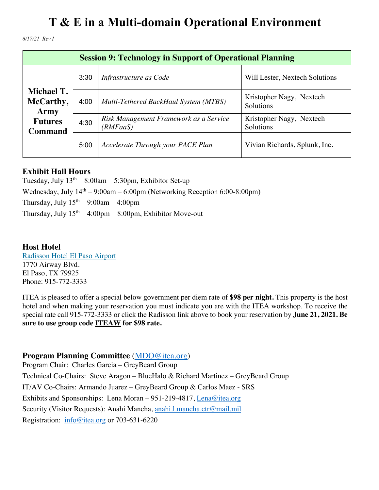*6/17/21 Rev I*

| <b>Session 9: Technology in Support of Operational Planning</b> |      |                                                    |                                       |
|-----------------------------------------------------------------|------|----------------------------------------------------|---------------------------------------|
| Michael T.<br>McCarthy,<br>Army                                 | 3:30 | Infrastructure as Code                             | Will Lester, Nextech Solutions        |
|                                                                 | 4:00 | Multi-Tethered BackHaul System (MTBS)              | Kristopher Nagy, Nextech<br>Solutions |
| <b>Futures</b><br><b>Command</b>                                | 4:30 | Risk Management Framework as a Service<br>(RMFaaS) | Kristopher Nagy, Nextech<br>Solutions |
|                                                                 | 5:00 | Accelerate Through your PACE Plan                  | Vivian Richards, Splunk, Inc.         |

#### **Exhibit Hall Hours**

Tuesday, July  $13<sup>th</sup> - 8:00am - 5:30pm$ , Exhibitor Set-up Wednesday, July  $14<sup>th</sup> - 9:00$ am – 6:00pm (Networking Reception 6:00-8:00pm) Thursday, July  $15<sup>th</sup> - 9:00am - 4:00pm$ Thursday, July  $15<sup>th</sup> - 4:00pm - 8:00pm$ , Exhibitor Move-out

#### **Host Hotel**

Radisson Hotel El Paso Airport 1770 Airway Blvd. El Paso, TX 79925 Phone: 915-772-3333

ITEA is pleased to offer a special below government per diem rate of **\$98 per night.** This property is the host hotel and when making your reservation you must indicate you are with the ITEA workshop. To receive the special rate call 915-772-3333 or click the Radisson link above to book your reservation by **June 21, 2021. Be sure to use group code ITEAW for \$98 rate.**

#### **Program Planning Committee** (MDO@itea.org)

Program Chair: Charles Garcia – GreyBeard Group Technical Co-Chairs: Steve Aragon – BlueHalo & Richard Martinez – GreyBeard Group IT/AV Co-Chairs: Armando Juarez – GreyBeard Group & Carlos Maez - SRS Exhibits and Sponsorships: Lena Moran – 951-219-4817, Lena@itea.org Security (Visitor Requests): Anahi Mancha, anahi.l.mancha.ctr@mail.mil Registration: info@itea.org or 703-631-6220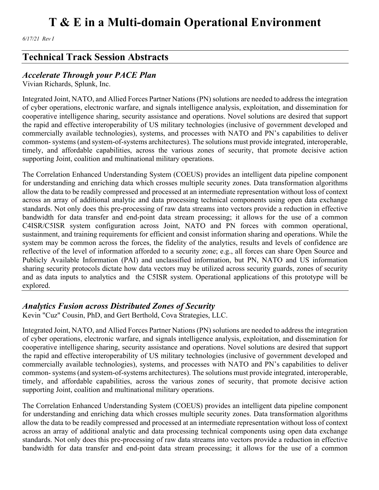*6/17/21 Rev I*

### **Technical Track Session Abstracts**

#### *Accelerate Through your PACE Plan*

Vivian Richards, Splunk, Inc.

Integrated Joint, NATO, and Allied Forces Partner Nations (PN) solutions are needed to address the integration of cyber operations, electronic warfare, and signals intelligence analysis, exploitation, and dissemination for cooperative intelligence sharing, security assistance and operations. Novel solutions are desired that support the rapid and effective interoperability of US military technologies (inclusive of government developed and commercially available technologies), systems, and processes with NATO and PN's capabilities to deliver common- systems (and system-of-systems architectures). The solutions must provide integrated, interoperable, timely, and affordable capabilities, across the various zones of security, that promote decisive action supporting Joint, coalition and multinational military operations.

The Correlation Enhanced Understanding System (COEUS) provides an intelligent data pipeline component for understanding and enriching data which crosses multiple security zones. Data transformation algorithms allow the data to be readily compressed and processed at an intermediate representation without loss of context across an array of additional analytic and data processing technical components using open data exchange standards. Not only does this pre-processing of raw data streams into vectors provide a reduction in effective bandwidth for data transfer and end-point data stream processing; it allows for the use of a common C4ISR/C5ISR system configuration across Joint, NATO and PN forces with common operational, sustainment, and training requirements for efficient and consist information sharing and operations. While the system may be common across the forces, the fidelity of the analytics, results and levels of confidence are reflective of the level of information afforded to a security zone; e.g., all forces can share Open Source and Publicly Available Information (PAI) and unclassified information, but PN, NATO and US information sharing security protocols dictate how data vectors may be utilized across security guards, zones of security and as data inputs to analytics and the C5ISR system. Operational applications of this prototype will be explored.

#### *Analytics Fusion across Distributed Zones of Security*

Kevin "Cuz" Cousin, PhD, and Gert Berthold, Cova Strategies, LLC.

Integrated Joint, NATO, and Allied Forces Partner Nations (PN) solutions are needed to address the integration of cyber operations, electronic warfare, and signals intelligence analysis, exploitation, and dissemination for cooperative intelligence sharing, security assistance and operations. Novel solutions are desired that support the rapid and effective interoperability of US military technologies (inclusive of government developed and commercially available technologies), systems, and processes with NATO and PN's capabilities to deliver common- systems (and system-of-systems architectures). The solutions must provide integrated, interoperable, timely, and affordable capabilities, across the various zones of security, that promote decisive action supporting Joint, coalition and multinational military operations.

The Correlation Enhanced Understanding System (COEUS) provides an intelligent data pipeline component for understanding and enriching data which crosses multiple security zones. Data transformation algorithms allow the data to be readily compressed and processed at an intermediate representation without loss of context across an array of additional analytic and data processing technical components using open data exchange standards. Not only does this pre-processing of raw data streams into vectors provide a reduction in effective bandwidth for data transfer and end-point data stream processing; it allows for the use of a common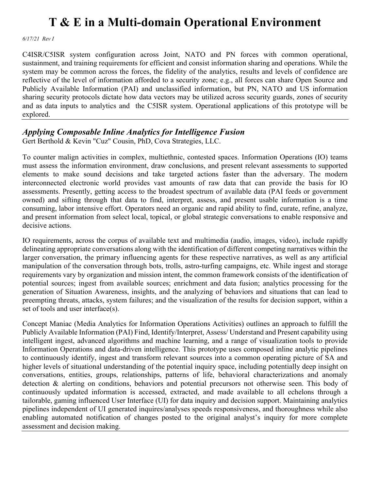*6/17/21 Rev I*

C4ISR/C5ISR system configuration across Joint, NATO and PN forces with common operational, sustainment, and training requirements for efficient and consist information sharing and operations. While the system may be common across the forces, the fidelity of the analytics, results and levels of confidence are reflective of the level of information afforded to a security zone; e.g., all forces can share Open Source and Publicly Available Information (PAI) and unclassified information, but PN, NATO and US information sharing security protocols dictate how data vectors may be utilized across security guards, zones of security and as data inputs to analytics and the C5ISR system. Operational applications of this prototype will be explored.

#### *Applying Composable Inline Analytics for Intelligence Fusion*

Gert Berthold & Kevin "Cuz" Cousin, PhD, Cova Strategies, LLC.

To counter malign activities in complex, multiethnic, contested spaces. Information Operations (IO) teams must assess the information environment, draw conclusions, and present relevant assessments to supported elements to make sound decisions and take targeted actions faster than the adversary. The modern interconnected electronic world provides vast amounts of raw data that can provide the basis for IO assessments. Presently, getting access to the broadest spectrum of available data (PAI feeds or government owned) and sifting through that data to find, interpret, assess, and present usable information is a time consuming, labor intensive effort. Operators need an organic and rapid ability to find, curate, refine, analyze, and present information from select local, topical, or global strategic conversations to enable responsive and decisive actions.

IO requirements, across the corpus of available text and multimedia (audio, images, video), include rapidly delineating appropriate conversations along with the identification of different competing narratives within the larger conversation, the primary influencing agents for these respective narratives, as well as any artificial manipulation of the conversation through bots, trolls, astro-turfing campaigns, etc. While ingest and storage requirements vary by organization and mission intent, the common framework consists of the identification of potential sources; ingest from available sources; enrichment and data fusion; analytics processing for the generation of Situation Awareness, insights, and the analyzing of behaviors and situations that can lead to preempting threats, attacks, system failures; and the visualization of the results for decision support, within a set of tools and user interface(s).

Concept Maniac (Media Analytics for Information Operations Activities) outlines an approach to fulfill the Publicly Available Information (PAI) Find, Identify/Interpret, Assess/ Understand and Present capability using intelligent ingest, advanced algorithms and machine learning, and a range of visualization tools to provide Information Operations and data-driven intelligence. This prototype uses composed inline analytic pipelines to continuously identify, ingest and transform relevant sources into a common operating picture of SA and higher levels of situational understanding of the potential inquiry space, including potentially deep insight on conversations, entities, groups, relationships, patterns of life, behavioral characterizations and anomaly detection & alerting on conditions, behaviors and potential precursors not otherwise seen. This body of continuously updated information is accessed, extracted, and made available to all echelons through a tailorable, gaming influenced User Interface (UI) for data inquiry and decision support. Maintaining analytics pipelines independent of UI generated inquires/analyses speeds responsiveness, and thoroughness while also enabling automated notification of changes posted to the original analyst's inquiry for more complete assessment and decision making.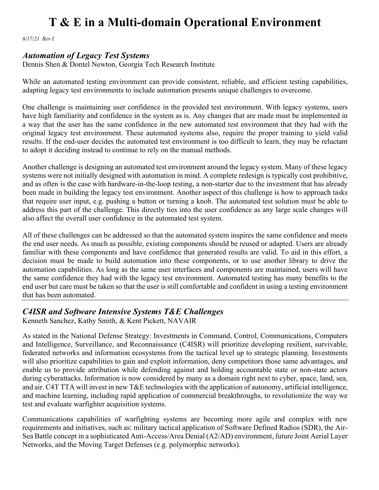*6/17/21 Rev I*

#### *Automation of Legacy Test Systems*

Dennis Shen & Dontel Newton, Georgia Tech Research Institute

While an automated testing environment can provide consistent, reliable, and efficient testing capabilities, adapting legacy test environments to include automation presents unique challenges to overcome.

One challenge is maintaining user confidence in the provided test environment. With legacy systems, users have high familiarity and confidence in the system as is. Any changes that are made must be implemented in a way that the user has the same confidence in the new automated test environment that they had with the original legacy test environment. These automated systems also, require the proper training to yield valid results. If the end-user decides the automated test environment is too difficult to learn, they may be reluctant to adopt it deciding instead to continue to rely on the manual methods.

Another challenge is designing an automated test environment around the legacy system. Many of these legacy systems were not initially designed with automation in mind. A complete redesign is typically cost prohibitive, and as often is the case with hardware-in-the-loop testing, a non-starter due to the investment that has already been made in building the legacy test environment. Another aspect of this challenge is how to approach tasks that require user input, e.g. pushing a button or turning a knob. The automated test solution must be able to address this part of the challenge. This directly ties into the user confidence as any large scale changes will also affect the overall user confidence in the automated test system.

All of these challenges can be addressed so that the automated system inspires the same confidence and meets the end user needs. As much as possible, existing components should be reused or adapted. Users are already familiar with these components and have confidence that generated results are valid. To aid in this effort, a decision must be made to build automation into these components, or to use another library to drive the automation capabilities. As long as the same user interfaces and components are maintained, users will have the same confidence they had with the legacy test environment. Automated testing has many benefits to the end user but care must be taken so that the user is still comfortable and confident in using a testing environment that has been automated.

#### *C4ISR and Software Intensive Systems T&E Challenges*

Kenneth Sanchez, Kathy Smith, & Kent Pickett, NAVAIR

As stated in the National Defense Strategy: Investments in Command, Control, Communications, Computers and Intelligence, Surveillance, and Reconnaissance (C4ISR) will prioritize developing resilient, survivable, federated networks and information ecosystems from the tactical level up to strategic planning. Investments will also prioritize capabilities to gain and exploit information, deny competitors those same advantages, and enable us to provide attribution while defending against and holding accountable state or non-state actors during cyberattacks. Information is now considered by many as a domain right next to cyber, space, land, sea, and air. C4T TTA will invest in new T&E technologies with the application of autonomy, artificial intelligence, and machine learning, including rapid application of commercial breakthroughs, to revolutionize the way we test and evaluate warfighter acquisition systems.

Communications capabilities of warfighting systems are becoming more agile and complex with new requirements and initiatives, such as: military tactical application of Software Defined Radios (SDR), the Air-Sea Battle concept in a sophisticated Anti-Access/Area Denial (A2/AD) environment, future Joint Aerial Layer Networks, and the Moving Target Defenses (e.g. polymorphic networks).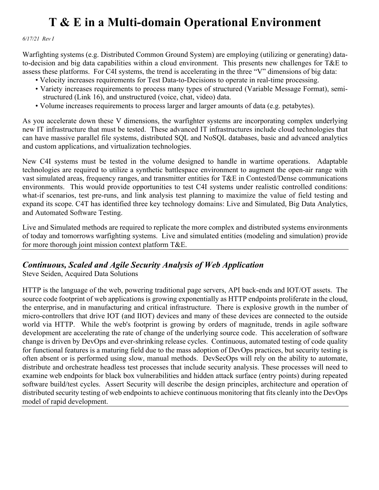*6/17/21 Rev I*

Warfighting systems (e.g. Distributed Common Ground System) are employing (utilizing or generating) datato-decision and big data capabilities within a cloud environment. This presents new challenges for T&E to assess these platforms. For C4I systems, the trend is accelerating in the three "V" dimensions of big data:

- Velocity increases requirements for Test Data-to-Decisions to operate in real-time processing.
- Variety increases requirements to process many types of structured (Variable Message Format), semi structured (Link 16), and unstructured (voice, chat, video) data.
- Volume increases requirements to process larger and larger amounts of data (e.g. petabytes).

As you accelerate down these V dimensions, the warfighter systems are incorporating complex underlying new IT infrastructure that must be tested. These advanced IT infrastructures include cloud technologies that can have massive parallel file systems, distributed SQL and NoSQL databases, basic and advanced analytics and custom applications, and virtualization technologies.

New C4I systems must be tested in the volume designed to handle in wartime operations. Adaptable technologies are required to utilize a synthetic battlespace environment to augment the open-air range with vast simulated areas, frequency ranges, and transmitter entities for T&E in Contested/Dense communications environments. This would provide opportunities to test C4I systems under realistic controlled conditions: what-if scenarios, test pre-runs, and link analysis test planning to maximize the value of field testing and expand its scope. C4T has identified three key technology domains: Live and Simulated, Big Data Analytics, and Automated Software Testing.

Live and Simulated methods are required to replicate the more complex and distributed systems environments of today and tomorrows warfighting systems. Live and simulated entities (modeling and simulation) provide for more thorough joint mission context platform T&E.

#### *Continuous, Scaled and Agile Security Analysis of Web Application*

Steve Seiden, Acquired Data Solutions

HTTP is the language of the web, powering traditional page servers, API back-ends and IOT/OT assets. The source code footprint of web applications is growing exponentially as HTTP endpoints proliferate in the cloud, the enterprise, and in manufacturing and critical infrastructure. There is explosive growth in the number of micro-controllers that drive IOT (and IIOT) devices and many of these devices are connected to the outside world via HTTP. While the web's footprint is growing by orders of magnitude, trends in agile software development are accelerating the rate of change of the underlying source code. This acceleration of software change is driven by DevOps and ever-shrinking release cycles. Continuous, automated testing of code quality for functional features is a maturing field due to the mass adoption of DevOps practices, but security testing is often absent or is performed using slow, manual methods. DevSecOps will rely on the ability to automate, distribute and orchestrate headless test processes that include security analysis. These processes will need to examine web endpoints for black box vulnerabilities and hidden attack surface (entry points) during repeated software build/test cycles. Assert Security will describe the design principles, architecture and operation of distributed security testing of web endpoints to achieve continuous monitoring that fits cleanly into the DevOps model of rapid development.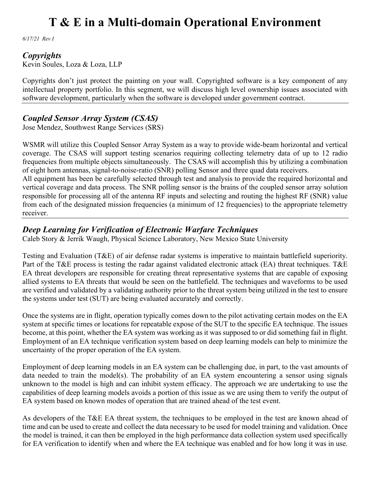*6/17/21 Rev I*

#### *Copyrights*

Kevin Soules, Loza & Loza, LLP

Copyrights don't just protect the painting on your wall. Copyrighted software is a key component of any intellectual property portfolio. In this segment, we will discuss high level ownership issues associated with software development, particularly when the software is developed under government contract.

### *Coupled Sensor Array System (CSAS)*

Jose Mendez, Southwest Range Services (SRS)

WSMR will utilize this Coupled Sensor Array System as a way to provide wide-beam horizontal and vertical coverage. The CSAS will support testing scenarios requiring collecting telemetry data of up to 12 radio frequencies from multiple objects simultaneously. The CSAS will accomplish this by utilizing a combination of eight horn antennas, signal-to-noise-ratio (SNR) polling Sensor and three quad data receivers.

All equipment has been be carefully selected through test and analysis to provide the required horizontal and vertical coverage and data process. The SNR polling sensor is the brains of the coupled sensor array solution responsible for processing all of the antenna RF inputs and selecting and routing the highest RF (SNR) value from each of the designated mission frequencies (a minimum of 12 frequencies) to the appropriate telemetry receiver.

### *Deep Learning for Verification of Electronic Warfare Techniques*

Caleb Story & Jerrik Waugh, Physical Science Laboratory, New Mexico State University

Testing and Evaluation (T&E) of air defense radar systems is imperative to maintain battlefield superiority. Part of the T&E process is testing the radar against validated electronic attack (EA) threat techniques. T&E EA threat developers are responsible for creating threat representative systems that are capable of exposing allied systems to EA threats that would be seen on the battlefield. The techniques and waveforms to be used are verified and validated by a validating authority prior to the threat system being utilized in the test to ensure the systems under test (SUT) are being evaluated accurately and correctly.

Once the systems are in flight, operation typically comes down to the pilot activating certain modes on the EA system at specific times or locations for repeatable expose of the SUT to the specific EA technique. The issues become, at this point, whether the EA system was working as it was supposed to or did something fail in flight. Employment of an EA technique verification system based on deep learning models can help to minimize the uncertainty of the proper operation of the EA system.

Employment of deep learning models in an EA system can be challenging due, in part, to the vast amounts of data needed to train the model(s). The probability of an EA system encountering a sensor using signals unknown to the model is high and can inhibit system efficacy. The approach we are undertaking to use the capabilities of deep learning models avoids a portion of this issue as we are using them to verify the output of EA system based on known modes of operation that are trained ahead of the test event.

As developers of the T&E EA threat system, the techniques to be employed in the test are known ahead of time and can be used to create and collect the data necessary to be used for model training and validation. Once the model is trained, it can then be employed in the high performance data collection system used specifically for EA verification to identify when and where the EA technique was enabled and for how long it was in use.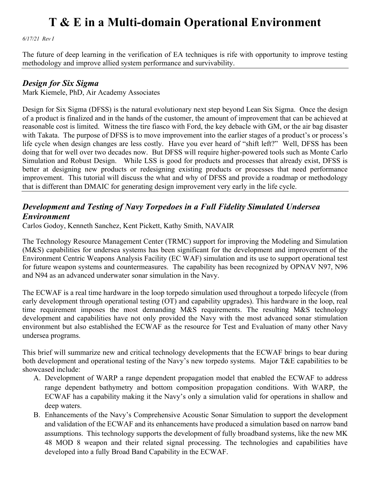*6/17/21 Rev I*

The future of deep learning in the verification of EA techniques is rife with opportunity to improve testing methodology and improve allied system performance and survivability.

#### *Design for Six Sigma*

Mark Kiemele, PhD, Air Academy Associates

Design for Six Sigma (DFSS) is the natural evolutionary next step beyond Lean Six Sigma. Once the design of a product is finalized and in the hands of the customer, the amount of improvement that can be achieved at reasonable cost is limited. Witness the tire fiasco with Ford, the key debacle with GM, or the air bag disaster with Takata. The purpose of DFSS is to move improvement into the earlier stages of a product's or process's life cycle when design changes are less costly. Have you ever heard of "shift left?" Well, DFSS has been doing that for well over two decades now. But DFSS will require higher-powered tools such as Monte Carlo Simulation and Robust Design. While LSS is good for products and processes that already exist, DFSS is better at designing new products or redesigning existing products or processes that need performance improvement. This tutorial will discuss the what and why of DFSS and provide a roadmap or methodology that is different than DMAIC for generating design improvement very early in the life cycle.

### *Development and Testing of Navy Torpedoes in a Full Fidelity Simulated Undersea Environment*

Carlos Godoy, Kenneth Sanchez, Kent Pickett, Kathy Smith, NAVAIR

The Technology Resource Management Center (TRMC) support for improving the Modeling and Simulation (M&S) capabilities for undersea systems has been significant for the development and improvement of the Environment Centric Weapons Analysis Facility (EC WAF) simulation and its use to support operational test for future weapon systems and countermeasures. The capability has been recognized by OPNAV N97, N96 and N94 as an advanced underwater sonar simulation in the Navy.

The ECWAF is a real time hardware in the loop torpedo simulation used throughout a torpedo lifecycle (from early development through operational testing (OT) and capability upgrades). This hardware in the loop, real time requirement imposes the most demanding M&S requirements. The resulting M&S technology development and capabilities have not only provided the Navy with the most advanced sonar stimulation environment but also established the ECWAF as the resource for Test and Evaluation of many other Navy undersea programs.

This brief will summarize new and critical technology developments that the ECWAF brings to bear during both development and operational testing of the Navy's new torpedo systems. Major T&E capabilities to be showcased include:

- A. Development of WARP a range dependent propagation model that enabled the ECWAF to address range dependent bathymetry and bottom composition propagation conditions. With WARP, the ECWAF has a capability making it the Navy's only a simulation valid for operations in shallow and deep waters.
- B. Enhancements of the Navy's Comprehensive Acoustic Sonar Simulation to support the development and validation of the ECWAF and its enhancements have produced a simulation based on narrow band assumptions. This technology supports the development of fully broadband systems, like the new MK 48 MOD 8 weapon and their related signal processing. The technologies and capabilities have developed into a fully Broad Band Capability in the ECWAF.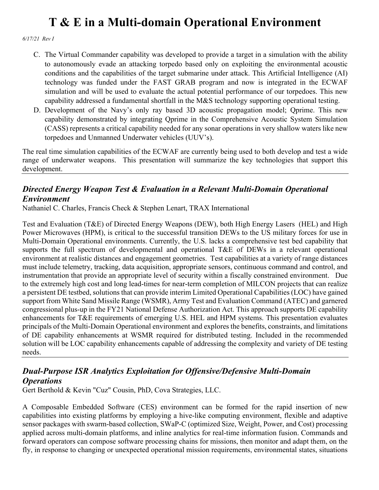*6/17/21 Rev I*

- C. The Virtual Commander capability was developed to provide a target in a simulation with the ability to autonomously evade an attacking torpedo based only on exploiting the environmental acoustic conditions and the capabilities of the target submarine under attack. This Artificial Intelligence (AI) technology was funded under the FAST GRAB program and now is integrated in the ECWAF simulation and will be used to evaluate the actual potential performance of our torpedoes. This new capability addressed a fundamental shortfall in the M&S technology supporting operational testing.
- D. Development of the Navy's only ray based 3D acoustic propagation model; Qprime. This new capability demonstrated by integrating Qprime in the Comprehensive Acoustic System Simulation (CASS) represents a critical capability needed for any sonar operations in very shallow waters like new torpedoes and Unmanned Underwater vehicles (UUV's).

The real time simulation capabilities of the ECWAF are currently being used to both develop and test a wide range of underwater weapons. This presentation will summarize the key technologies that support this development.

### *Directed Energy Weapon Test & Evaluation in a Relevant Multi-Domain Operational Environment*

Nathaniel C. Charles, Francis Check & Stephen Lenart, TRAX International

Test and Evaluation (T&E) of Directed Energy Weapons (DEW), both High Energy Lasers (HEL) and High Power Microwaves (HPM), is critical to the successful transition DEWs to the US military forces for use in Multi-Domain Operational environments. Currently, the U.S. lacks a comprehensive test bed capability that supports the full spectrum of developmental and operational T&E of DEWs in a relevant operational environment at realistic distances and engagement geometries. Test capabilities at a variety of range distances must include telemetry, tracking, data acquisition, appropriate sensors, continuous command and control, and instrumentation that provide an appropriate level of security within a fiscally constrained environment. Due to the extremely high cost and long lead-times for near-term completion of MILCON projects that can realize a persistent DE testbed, solutions that can provide interim Limited Operational Capabilities (LOC) have gained support from White Sand Missile Range (WSMR), Army Test and Evaluation Command (ATEC) and garnered congressional plus-up in the FY21 National Defense Authorization Act. This approach supports DE capability enhancements for T&E requirements of emerging U.S. HEL and HPM systems. This presentation evaluates principals of the Multi-Domain Operational environment and explores the benefits, constraints, and limitations of DE capability enhancements at WSMR required for distributed testing. Included in the recommended solution will be LOC capability enhancements capable of addressing the complexity and variety of DE testing needs.

### *Dual-Purpose ISR Analytics Exploitation for Offensive/Defensive Multi-Domain Operations*

Gert Berthold & Kevin "Cuz" Cousin, PhD, Cova Strategies, LLC.

A Composable Embedded Software (CES) environment can be formed for the rapid insertion of new capabilities into existing platforms by employing a hive-like computing environment, flexible and adaptive sensor packages with swarm-based collection, SWaP-C (optimized Size, Weight, Power, and Cost) processing applied across multi-domain platforms, and inline analytics for real-time information fusion. Commands and forward operators can compose software processing chains for missions, then monitor and adapt them, on the fly, in response to changing or unexpected operational mission requirements, environmental states, situations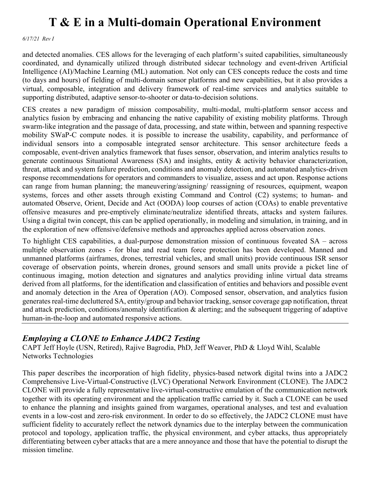*6/17/21 Rev I*

and detected anomalies. CES allows for the leveraging of each platform's suited capabilities, simultaneously coordinated, and dynamically utilized through distributed sidecar technology and event-driven Artificial Intelligence (AI)/Machine Learning (ML) automation. Not only can CES concepts reduce the costs and time (to days and hours) of fielding of multi-domain sensor platforms and new capabilities, but it also provides a virtual, composable, integration and delivery framework of real-time services and analytics suitable to supporting distributed, adaptive sensor-to-shooter or data-to-decision solutions.

CES creates a new paradigm of mission composability, multi-modal, multi-platform sensor access and analytics fusion by embracing and enhancing the native capability of existing mobility platforms. Through swarm-like integration and the passage of data, processing, and state within, between and spanning respective mobility SWaP-C compute nodes. it is possible to increase the usability, capability, and performance of individual sensors into a composable integrated sensor architecture. This sensor architecture feeds a composable, event-driven analytics framework that fuses sensor, observation, and interim analytics results to generate continuous Situational Awareness (SA) and insights, entity & activity behavior characterization, threat, attack and system failure prediction, conditions and anomaly detection, and automated analytics-driven response recommendations for operators and commanders to visualize, assess and act upon. Response actions can range from human planning; the maneuvering/assigning/ reassigning of resources, equipment, weapon systems, forces and other assets through existing Command and Control (C2) systems; to human- and automated Observe, Orient, Decide and Act (OODA) loop courses of action (COAs) to enable preventative offensive measures and pre-emptively eliminate/neutralize identified threats, attacks and system failures. Using a digital twin concept, this can be applied operationally, in modeling and simulation, in training, and in the exploration of new offensive/defensive methods and approaches applied across observation zones.

To highlight CES capabilities, a dual-purpose demonstration mission of continuous foveated SA – across multiple observation zones - for blue and read team force protection has been developed. Manned and unmanned platforms (airframes, drones, terrestrial vehicles, and small units) provide continuous ISR sensor coverage of observation points, wherein drones, ground sensors and small units provide a picket line of continuous imaging, motion detection and signatures and analytics providing inline virtual data streams derived from all platforms, for the identification and classification of entities and behaviors and possible event and anomaly detection in the Area of Operation (AO). Composed sensor, observation, and analytics fusion generates real-time decluttered SA, entity/group and behavior tracking, sensor coverage gap notification, threat and attack prediction, conditions/anomaly identification & alerting; and the subsequent triggering of adaptive human-in-the-loop and automated responsive actions.

### *Employing a CLONE to Enhance JADC2 Testing*

CAPT Jeff Hoyle (USN, Retired), Rajive Bagrodia, PhD, Jeff Weaver, PhD & Lloyd Wihl, Scalable Networks Technologies

This paper describes the incorporation of high fidelity, physics-based network digital twins into a JADC2 Comprehensive Live-Virtual-Constructive (LVC) Operational Network Environment (CLONE). The JADC2 CLONE will provide a fully representative live-virtual-constructive emulation of the communication network together with its operating environment and the application traffic carried by it. Such a CLONE can be used to enhance the planning and insights gained from wargames, operational analyses, and test and evaluation events in a low-cost and zero-risk environment. In order to do so effectively, the JADC2 CLONE must have sufficient fidelity to accurately reflect the network dynamics due to the interplay between the communication protocol and topology, application traffic, the physical environment, and cyber attacks, thus appropriately differentiating between cyber attacks that are a mere annoyance and those that have the potential to disrupt the mission timeline.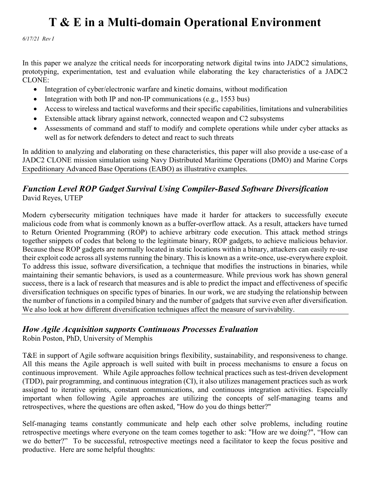*6/17/21 Rev I*

In this paper we analyze the critical needs for incorporating network digital twins into JADC2 simulations, prototyping, experimentation, test and evaluation while elaborating the key characteristics of a JADC2 CLONE:

- Integration of cyber/electronic warfare and kinetic domains, without modification
- Integration with both IP and non-IP communications (e.g., 1553 bus)
- Access to wireless and tactical waveforms and their specific capabilities, limitations and vulnerabilities
- Extensible attack library against network, connected weapon and C2 subsystems
- Assessments of command and staff to modify and complete operations while under cyber attacks as well as for network defenders to detect and react to such threats

In addition to analyzing and elaborating on these characteristics, this paper will also provide a use-case of a JADC2 CLONE mission simulation using Navy Distributed Maritime Operations (DMO) and Marine Corps Expeditionary Advanced Base Operations (EABO) as illustrative examples.

#### *Function Level ROP Gadget Survival Using Compiler-Based Software Diversification* David Reyes, UTEP

Modern cybersecurity mitigation techniques have made it harder for attackers to successfully execute malicious code from what is commonly known as a buffer-overflow attack. As a result, attackers have turned to Return Oriented Programming (ROP) to achieve arbitrary code execution. This attack method strings together snippets of codes that belong to the legitimate binary, ROP gadgets, to achieve malicious behavior. Because these ROP gadgets are normally located in static locations within a binary, attackers can easily re-use their exploit code across all systems running the binary. This is known as a write-once, use-everywhere exploit. To address this issue, software diversification, a technique that modifies the instructions in binaries, while maintaining their semantic behaviors, is used as a countermeasure. While previous work has shown general success, there is a lack of research that measures and is able to predict the impact and effectiveness of specific diversification techniques on specific types of binaries. In our work, we are studying the relationship between the number of functions in a compiled binary and the number of gadgets that survive even after diversification. We also look at how different diversification techniques affect the measure of survivability.

#### *How Agile Acquisition supports Continuous Processes Evaluation*

Robin Poston, PhD, University of Memphis

T&E in support of Agile software acquisition brings flexibility, sustainability, and responsiveness to change. All this means the Agile approach is well suited with built in process mechanisms to ensure a focus on continuous improvement. While Agile approaches follow technical practices such as test-driven development (TDD), pair programming, and continuous integration (CI), it also utilizes management practices such as work assigned to iterative sprints, constant communications, and continuous integration activities. Especially important when following Agile approaches are utilizing the concepts of self-managing teams and retrospectives, where the questions are often asked, "How do you do things better?"

Self-managing teams constantly communicate and help each other solve problems, including routine retrospective meetings where everyone on the team comes together to ask: "How are we doing?", "How can we do better?" To be successful, retrospective meetings need a facilitator to keep the focus positive and productive. Here are some helpful thoughts: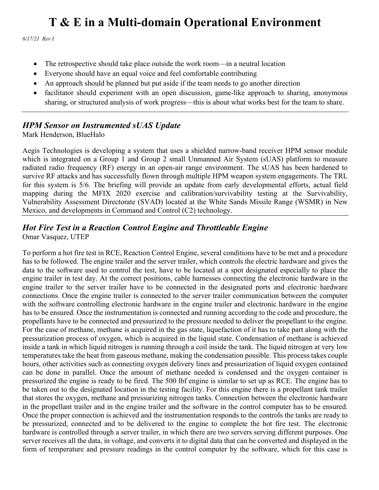*6/17/21 Rev I*

- The retrospective should take place outside the work room—in a neutral location
- Everyone should have an equal voice and feel comfortable contributing
- An approach should be planned but put aside if the team needs to go another direction
- facilitator should experiment with an open discussion, game-like approach to sharing, anonymous sharing, or structured analysis of work progress—this is about what works best for the team to share.

#### *HPM Sensor on Instrumented sUAS Update*

Mark Henderson, BlueHalo

Aegis Technologies is developing a system that uses a shielded narrow-band receiver HPM sensor module which is integrated on a Group 1 and Group 2 small Unmanned Air System (sUAS) platform to measure radiated radio frequency (RF) energy in an open-air range environment. The sUAS has been hardened to survive RF attacks and has successfully flown through multiple HPM weapon system engagements. The TRL for this system is 5/6. The briefing will provide an update from early developmental efforts, actual field mapping during the MFIX 2020 exercise and calibration/survivability testing at the Survivability, Vulnerability Assessment Directorate (SVAD) located at the White Sands Missile Range (WSMR) in New Mexico, and developments in Command and Control (C2) technology.

# *Hot Fire Test in a Reaction Control Engine and Throttleable Engine*

Omar Vasquez, UTEP

To perform a hot fire test in RCE, Reaction Control Engine, several conditions have to be met and a procedure has to be followed. The engine trailer and the server trailer, which controls the electric hardware and gives the data to the software used to control the test, have to be located at a spot designated especially to place the engine trailer in test day. At the correct positions, cable harnesses connecting the electronic hardware in the engine trailer to the server trailer have to be connected in the designated ports and electronic hardware connections. Once the engine trailer is connected to the server trailer communication between the computer with the software controlling electronic hardware in the engine trailer and electronic hardware in the engine has to be ensured. Once the instrumentation is connected and running according to the code and procedure, the propellants have to be connected and pressurized to the pressure needed to deliver the propellant to the engine. For the case of methane, methane is acquired in the gas state, liquefaction of it has to take part along with the pressurization process of oxygen, which is acquired in the liquid state. Condensation of methane is achieved inside a tank in which liquid nitrogen is running through a coil inside the tank. The liquid nitrogen at very low temperatures take the heat from gaseous methane, making the condensation possible. This process takes couple hours, other activities such as connecting oxygen delivery lines and pressurization of liquid oxygen contained can be done in parallel. Once the amount of methane needed is condensed and the oxygen container is pressurized the engine is ready to be fired. The 500 lbf engine is similar to set up as RCE. The engine has to be taken out to the designated location in the testing facility. For this engine there is a propellant tank trailer that stores the oxygen, methane and pressurizing nitrogen tanks. Connection between the electronic hardware in the propellant trailer and in the engine trailer and the software in the control computer has to be ensured. Once the proper connection is achieved and the instrumentation responds to the controls the tanks are ready to be pressurized, connected and to be delivered to the engine to complete the hot fire test. The electronic hardware is controlled through a server trailer, in which there are two servers serving different purposes. One server receives all the data, in voltage, and converts it to digital data that can be converted and displayed in the form of temperature and pressure readings in the control computer by the software, which for this case is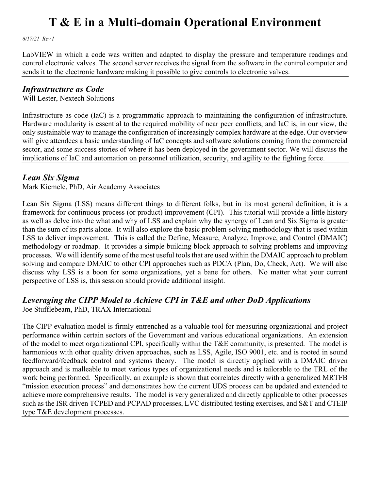*6/17/21 Rev I*

LabVIEW in which a code was written and adapted to display the pressure and temperature readings and control electronic valves. The second server receives the signal from the software in the control computer and sends it to the electronic hardware making it possible to give controls to electronic valves.

#### *Infrastructure as Code*

Will Lester, Nextech Solutions

Infrastructure as code (IaC) is a programmatic approach to maintaining the configuration of infrastructure. Hardware modularity is essential to the required mobility of near peer conflicts, and IaC is, in our view, the only sustainable way to manage the configuration of increasingly complex hardware at the edge. Our overview will give attendees a basic understanding of IaC concepts and software solutions coming from the commercial sector, and some success stories of where it has been deployed in the government sector. We will discuss the implications of IaC and automation on personnel utilization, security, and agility to the fighting force.

#### *Lean Six Sigma*

Mark Kiemele, PhD, Air Academy Associates

Lean Six Sigma (LSS) means different things to different folks, but in its most general definition, it is a framework for continuous process (or product) improvement (CPI). This tutorial will provide a little history as well as delve into the what and why of LSS and explain why the synergy of Lean and Six Sigma is greater than the sum of its parts alone. It will also explore the basic problem-solving methodology that is used within LSS to deliver improvement. This is called the Define, Measure, Analyze, Improve, and Control (DMAIC) methodology or roadmap. It provides a simple building block approach to solving problems and improving processes. We will identify some of the most useful tools that are used within the DMAIC approach to problem solving and compare DMAIC to other CPI approaches such as PDCA (Plan, Do, Check, Act). We will also discuss why LSS is a boon for some organizations, yet a bane for others. No matter what your current perspective of LSS is, this session should provide additional insight.

### *Leveraging the CIPP Model to Achieve CPI in T&E and other DoD Applications*

Joe Stufflebeam, PhD, TRAX International

The CIPP evaluation model is firmly entrenched as a valuable tool for measuring organizational and project performance within certain sectors of the Government and various educational organizations. An extension of the model to meet organizational CPI, specifically within the T&E community, is presented. The model is harmonious with other quality driven approaches, such as LSS, Agile, ISO 9001, etc. and is rooted in sound feedforward/feedback control and systems theory. The model is directly applied with a DMAIC driven approach and is malleable to meet various types of organizational needs and is tailorable to the TRL of the work being performed. Specifically, an example is shown that correlates directly with a generalized MRTFB "mission execution process" and demonstrates how the current UDS process can be updated and extended to achieve more comprehensive results. The model is very generalized and directly applicable to other processes such as the ISR driven TCPED and PCPAD processes, LVC distributed testing exercises, and S&T and CTEIP type T&E development processes.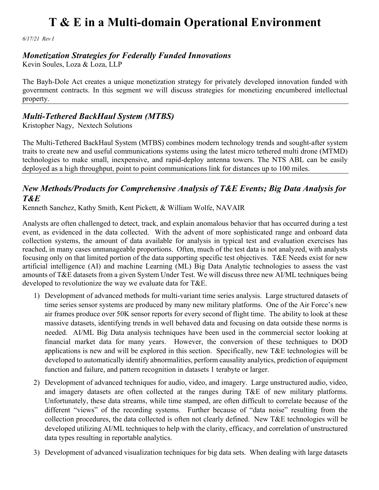*6/17/21 Rev I*

#### *Monetization Strategies for Federally Funded Innovations*

Kevin Soules, Loza & Loza, LLP

The Bayh-Dole Act creates a unique monetization strategy for privately developed innovation funded with government contracts. In this segment we will discuss strategies for monetizing encumbered intellectual property.

### *Multi-Tethered BackHaul System (MTBS)*

Kristopher Nagy, Nextech Solutions

The Multi-Tethered BackHaul System (MTBS) combines modern technology trends and sought-after system traits to create new and useful communications systems using the latest micro tethered multi drone (MTMD) technologies to make small, inexpensive, and rapid-deploy antenna towers. The NTS ABL can be easily deployed as a high throughput, point to point communications link for distances up to 100 miles.

### *New Methods/Products for Comprehensive Analysis of T&E Events; Big Data Analysis for T&E*

Kenneth Sanchez, Kathy Smith, Kent Pickett, & William Wolfe, NAVAIR

Analysts are often challenged to detect, track, and explain anomalous behavior that has occurred during a test event, as evidenced in the data collected. With the advent of more sophisticated range and onboard data collection systems, the amount of data available for analysis in typical test and evaluation exercises has reached, in many cases unmanageable proportions. Often, much of the test data is not analyzed, with analysts focusing only on that limited portion of the data supporting specific test objectives. T&E Needs exist for new artificial intelligence (AI) and machine Learning (ML) Big Data Analytic technologies to assess the vast amounts of T&E datasets from a given System Under Test. We will discuss three new AI/ML techniques being developed to revolutionize the way we evaluate data for T&E.

- 1) Development of advanced methods for multi-variant time series analysis. Large structured datasets of time series sensor systems are produced by many new military platforms. One of the Air Force's new air frames produce over 50K sensor reports for every second of flight time. The ability to look at these massive datasets, identifying trends in well behaved data and focusing on data outside these norms is needed. AI/ML Big Data analysis techniques have been used in the commercial sector looking at financial market data for many years. However, the conversion of these techniques to DOD applications is new and will be explored in this section. Specifically, new T&E technologies will be developed to automatically identify abnormalities, perform causality analytics, prediction of equipment function and failure, and pattern recognition in datasets 1 terabyte or larger.
- 2) Development of advanced techniques for audio, video, and imagery. Large unstructured audio, video, and imagery datasets are often collected at the ranges during T&E of new military platforms. Unfortunately, these data streams, while time stamped, are often difficult to correlate because of the different "views" of the recording systems. Further because of "data noise" resulting from the collection procedures, the data collected is often not clearly defined. New T&E technologies will be developed utilizing AI/ML techniques to help with the clarity, efficacy, and correlation of unstructured data types resulting in reportable analytics.
- 3) Development of advanced visualization techniques for big data sets. When dealing with large datasets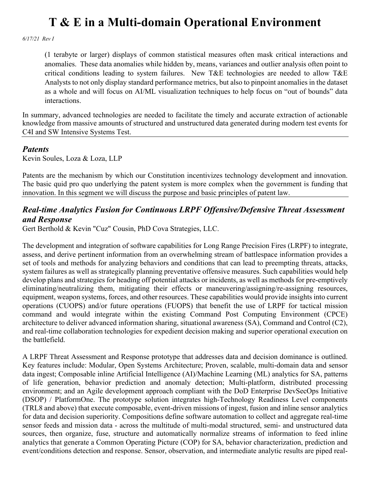*6/17/21 Rev I*

(1 terabyte or larger) displays of common statistical measures often mask critical interactions and anomalies. These data anomalies while hidden by, means, variances and outlier analysis often point to critical conditions leading to system failures. New T&E technologies are needed to allow T&E Analysts to not only display standard performance metrics, but also to pinpoint anomalies in the dataset as a whole and will focus on AI/ML visualization techniques to help focus on "out of bounds" data interactions.

In summary, advanced technologies are needed to facilitate the timely and accurate extraction of actionable knowledge from massive amounts of structured and unstructured data generated during modern test events for C4I and SW Intensive Systems Test.

#### *Patents*

Kevin Soules, Loza & Loza, LLP

Patents are the mechanism by which our Constitution incentivizes technology development and innovation. The basic quid pro quo underlying the patent system is more complex when the government is funding that innovation. In this segment we will discuss the purpose and basic principles of patent law.

#### *Real-time Analytics Fusion for Continuous LRPF Offensive/Defensive Threat Assessment and Response*

Gert Berthold & Kevin "Cuz" Cousin, PhD Cova Strategies, LLC.

The development and integration of software capabilities for Long Range Precision Fires (LRPF) to integrate, assess, and derive pertinent information from an overwhelming stream of battlespace information provides a set of tools and methods for analyzing behaviors and conditions that can lead to preempting threats, attacks, system failures as well as strategically planning preventative offensive measures. Such capabilities would help develop plans and strategies for heading off potential attacks or incidents, as well as methods for pre-emptively eliminating/neutralizing them, mitigating their effects or maneuvering/assigning/re-assigning resources, equipment, weapon systems, forces, and other resources. These capabilities would provide insights into current operations (CUOPS) and/or future operations (FUOPS) that benefit the use of LRPF for tactical mission command and would integrate within the existing Command Post Computing Environment (CPCE) architecture to deliver advanced information sharing, situational awareness (SA), Command and Control (C2), and real-time collaboration technologies for expedient decision making and superior operational execution on the battlefield.

A LRPF Threat Assessment and Response prototype that addresses data and decision dominance is outlined. Key features include: Modular, Open Systems Architecture; Proven, scalable, multi-domain data and sensor data ingest; Composable inline Artificial Intelligence (AI)/Machine Learning (ML) analytics for SA, patterns of life generation, behavior prediction and anomaly detection; Multi-platform, distributed processing environment; and an Agile development approach compliant with the DoD Enterprise DevSecOps Initiative (DSOP) / PlatformOne. The prototype solution integrates high-Technology Readiness Level components (TRL8 and above) that execute composable, event-driven missions of ingest, fusion and inline sensor analytics for data and decision superiority. Compositions define software automation to collect and aggregate real-time sensor feeds and mission data - across the multitude of multi-modal structured, semi- and unstructured data sources, then organize, fuse, structure and automatically normalize streams of information to feed inline analytics that generate a Common Operating Picture (COP) for SA, behavior characterization, prediction and event/conditions detection and response. Sensor, observation, and intermediate analytic results are piped real-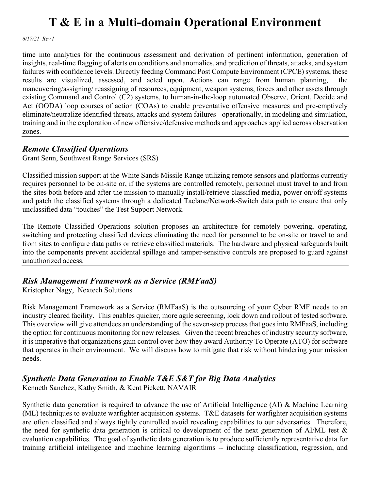*6/17/21 Rev I*

time into analytics for the continuous assessment and derivation of pertinent information, generation of insights, real-time flagging of alerts on conditions and anomalies, and prediction of threats, attacks, and system failures with confidence levels. Directly feeding Command Post Compute Environment (CPCE) systems, these results are visualized, assessed, and acted upon. Actions can range from human planning, maneuvering/assigning/ reassigning of resources, equipment, weapon systems, forces and other assets through existing Command and Control (C2) systems, to human-in-the-loop automated Observe, Orient, Decide and Act (OODA) loop courses of action (COAs) to enable preventative offensive measures and pre-emptively eliminate/neutralize identified threats, attacks and system failures - operationally, in modeling and simulation, training and in the exploration of new offensive/defensive methods and approaches applied across observation zones.

#### *Remote Classified Operations*

Grant Senn, Southwest Range Services (SRS)

Classified mission support at the White Sands Missile Range utilizing remote sensors and platforms currently requires personnel to be on-site or, if the systems are controlled remotely, personnel must travel to and from the sites both before and after the mission to manually install/retrieve classified media, power on/off systems and patch the classified systems through a dedicated Taclane/Network-Switch data path to ensure that only unclassified data "touches" the Test Support Network.

The Remote Classified Operations solution proposes an architecture for remotely powering, operating, switching and protecting classified devices eliminating the need for personnel to be on-site or travel to and from sites to configure data paths or retrieve classified materials. The hardware and physical safeguards built into the components prevent accidental spillage and tamper-sensitive controls are proposed to guard against unauthorized access.

### *Risk Management Framework as a Service (RMFaaS)*

Kristopher Nagy, Nextech Solutions

Risk Management Framework as a Service (RMFaaS) is the outsourcing of your Cyber RMF needs to an industry cleared facility. This enables quicker, more agile screening, lock down and rollout of tested software. This overview will give attendees an understanding of the seven-step process that goes into RMFaaS, including the option for continuous monitoring for new releases. Given the recent breaches of industry security software, it is imperative that organizations gain control over how they award Authority To Operate (ATO) for software that operates in their environment. We will discuss how to mitigate that risk without hindering your mission needs.

## *Synthetic Data Generation to Enable T&E S&T for Big Data Analytics*

Kenneth Sanchez, Kathy Smith, & Kent Pickett, NAVAIR

Synthetic data generation is required to advance the use of Artificial Intelligence (AI) & Machine Learning (ML) techniques to evaluate warfighter acquisition systems. T&E datasets for warfighter acquisition systems are often classified and always tightly controlled avoid revealing capabilities to our adversaries. Therefore, the need for synthetic data generation is critical to development of the next generation of AI/ML test & evaluation capabilities. The goal of synthetic data generation is to produce sufficiently representative data for training artificial intelligence and machine learning algorithms -- including classification, regression, and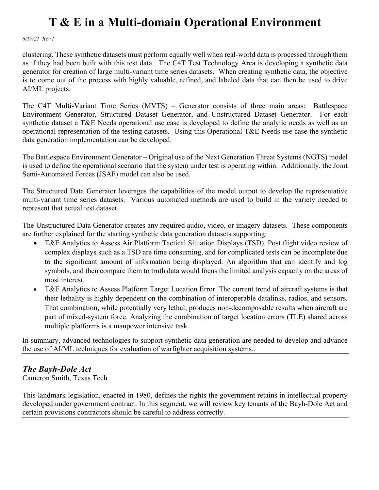*6/17/21 Rev I*

clustering. These synthetic datasets must perform equally well when real-world data is processed through them as if they had been built with this test data. The C4T Test Technology Area is developing a synthetic data generator for creation of large multi-variant time series datasets. When creating synthetic data, the objective is to come out of the process with highly valuable, refined, and labeled data that can then be used to drive AI/ML projects.

The C4T Multi-Variant Time Series (MVTS) – Generator consists of three main areas: Battlespace Environment Generator, Structured Dataset Generator, and Unstructured Dataset Generator. For each synthetic dataset a T&E Needs operational use case is developed to define the analytic needs as well as an operational representation of the testing datasets. Using this Operational T&E Needs use case the synthetic data generation implementation can be developed.

The Battlespace Environment Generator – Original use of the Next Generation Threat Systems (NGTS) model is used to define the operational scenario that the system under test is operating within. Additionally, the Joint Semi-Automated Forces (JSAF) model can also be used.

The Structured Data Generator leverages the capabilities of the model output to develop the representative multi-variant time series datasets. Various automated methods are used to build in the variety needed to represent that actual test dataset.

The Unstructured Data Generator creates any required audio, video, or imagery datasets. These components are further explained for the starting synthetic data generation datasets supporting:

- T&E Analytics to Assess Air Platform Tactical Situation Displays (TSD). Post flight video review of complex displays such as a TSD are time consuming, and for complicated tests can be incomplete due to the significant amount of information being displayed. An algorithm that can identify and log symbols, and then compare them to truth data would focus the limited analysis capacity on the areas of most interest.
- T&E Analytics to Assess Platform Target Location Error. The current trend of aircraft systems is that their lethality is highly dependent on the combination of interoperable datalinks, radios, and sensors. That combination, while potentially very lethal, produces non-decomposable results when aircraft are part of mixed-system force. Analyzing the combination of target location errors (TLE) shared across multiple platforms is a manpower intensive task.

In summary, advanced technologies to support synthetic data generation are needed to develop and advance the use of AI/ML techniques for evaluation of warfighter acquisition systems..

#### *The Bayh-Dole Act*

Cameron Smith, Texas Tech

This landmark legislation, enacted in 1980, defines the rights the government retains in intellectual property developed under government contract. In this segment, we will review key tenants of the Bayh-Dole Act and certain provisions contractors should be careful to address correctly.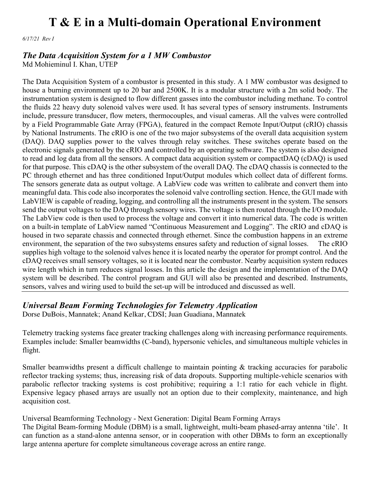*6/17/21 Rev I*

#### *The Data Acquisition System for a 1 MW Combustor*

Md Mohieminul I. Khan, UTEP

The Data Acquisition System of a combustor is presented in this study. A 1 MW combustor was designed to house a burning environment up to 20 bar and 2500K. It is a modular structure with a 2m solid body. The instrumentation system is designed to flow different gasses into the combustor including methane. To control the fluids 22 heavy duty solenoid valves were used. It has several types of sensory instruments. Instruments include, pressure transducer, flow meters, thermocouples, and visual cameras. All the valves were controlled by a Field Programmable Gate Array (FPGA), featured in the compact Remote Input/Output (cRIO) chassis by National Instruments. The cRIO is one of the two major subsystems of the overall data acquisition system (DAQ). DAQ supplies power to the valves through relay switches. These switches operate based on the electronic signals generated by the cRIO and controlled by an operating software. The system is also designed to read and log data from all the sensors. A compact data acquisition system or compactDAQ (cDAQ) is used for that purpose. This cDAQ is the other subsystem of the overall DAQ. The cDAQ chassis is connected to the PC through ethernet and has three conditioned Input/Output modules which collect data of different forms. The sensors generate data as output voltage. A LabView code was written to calibrate and convert them into meaningful data. This code also incorporates the solenoid valve controlling section. Hence, the GUI made with LabVIEW is capable of reading, logging, and controlling all the instruments present in the system. The sensors send the output voltages to the DAQ through sensory wires. The voltage is then routed through the I/O module. The LabView code is then used to process the voltage and convert it into numerical data. The code is written on a built-in template of LabView named "Continuous Measurement and Logging". The cRIO and cDAQ is housed in two separate chassis and connected through ethernet. Since the combustion happens in an extreme environment, the separation of the two subsystems ensures safety and reduction of signal losses. The cRIO supplies high voltage to the solenoid valves hence it is located nearby the operator for prompt control. And the cDAQ receives small sensory voltages, so it is located near the combustor. Nearby acquisition system reduces wire length which in turn reduces signal losses. In this article the design and the implementation of the DAQ system will be described. The control program and GUI will also be presented and described. Instruments, sensors, valves and wiring used to build the set-up will be introduced and discussed as well.

#### *Universal Beam Forming Technologies for Telemetry Application*

Dorse DuBois, Mannatek; Anand Kelkar, CDSI; Juan Guadiana, Mannatek

Telemetry tracking systems face greater tracking challenges along with increasing performance requirements. Examples include: Smaller beamwidths (C-band), hypersonic vehicles, and simultaneous multiple vehicles in flight.

Smaller beamwidths present a difficult challenge to maintain pointing & tracking accuracies for parabolic reflector tracking systems; thus, increasing risk of data dropouts. Supporting multiple-vehicle scenarios with parabolic reflector tracking systems is cost prohibitive; requiring a 1:1 ratio for each vehicle in flight. Expensive legacy phased arrays are usually not an option due to their complexity, maintenance, and high acquisition cost.

#### Universal Beamforming Technology - Next Generation: Digital Beam Forming Arrays

The Digital Beam-forming Module (DBM) is a small, lightweight, multi-beam phased-array antenna 'tile'. It can function as a stand-alone antenna sensor, or in cooperation with other DBMs to form an exceptionally large antenna aperture for complete simultaneous coverage across an entire range.